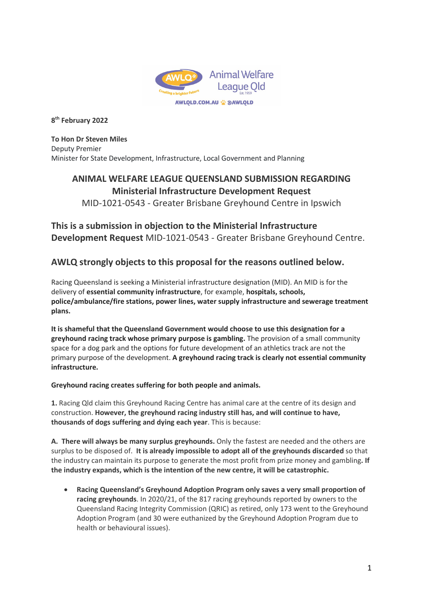

**8th February 2022**

**To Hon Dr Steven Miles** Deputy Premier Minister for State Development, Infrastructure, Local Government and Planning

## **ANIMAL WELFARE LEAGUE QUEENSLAND SUBMISSION REGARDING Ministerial Infrastructure Development Request**

MID-1021-0543 - Greater Brisbane Greyhound Centre in Ipswich

# **This is a submission in objection to the Ministerial Infrastructure**

**Development Request** MID-1021-0543 - Greater Brisbane Greyhound Centre.

### **AWLQ strongly objects to this proposal for the reasons outlined below.**

Racing Queensland is seeking a Ministerial infrastructure designation (MID). An MID is for the delivery of **essential community infrastructure**, for example, **hospitals, schools, police/ambulance/fire stations, power lines, water supply infrastructure and sewerage treatment plans.** 

**It is shameful that the Queensland Government would choose to use this designation for a greyhound racing track whose primary purpose is gambling.** The provision of a small community space for a dog park and the options for future development of an athletics track are not the primary purpose of the development. **A greyhound racing track is clearly not essential community infrastructure.** 

#### **Greyhound racing creates suffering for both people and animals.**

**1.** Racing Qld claim this Greyhound Racing Centre has animal care at the centre of its design and construction. **However, the greyhound racing industry still has, and will continue to have, thousands of dogs suffering and dying each year**. This is because:

**A. There will always be many surplus greyhounds.** Only the fastest are needed and the others are surplus to be disposed of. **It is already impossible to adopt all of the greyhounds discarded** so that the industry can maintain its purpose to generate the most profit from prize money and gambling**. If the industry expands, which is the intention of the new centre, it will be catastrophic.** 

• **Racing Queensland's Greyhound Adoption Program only saves a very small proportion of racing greyhounds**. In 2020/21, of the 817 racing greyhounds reported by owners to the Queensland Racing Integrity Commission (QRIC) as retired, only 173 went to the Greyhound Adoption Program (and 30 were euthanized by the Greyhound Adoption Program due to health or behavioural issues).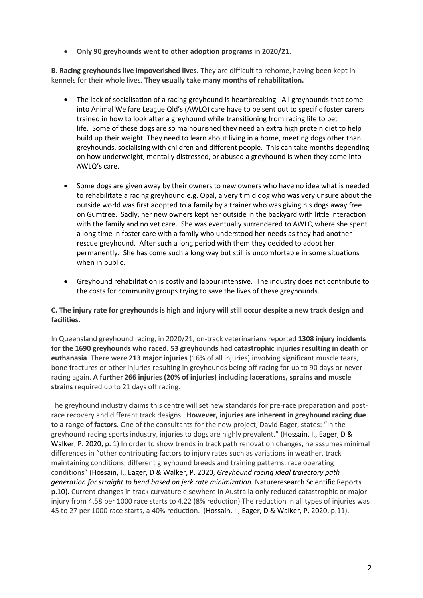• **Only 90 greyhounds went to other adoption programs in 2020/21.**

**B. Racing greyhounds live impoverished lives.** They are difficult to rehome, having been kept in kennels for their whole lives. **They usually take many months of rehabilitation.**

- The lack of socialisation of a racing greyhound is heartbreaking. All greyhounds that come into Animal Welfare League Qld's (AWLQ) care have to be sent out to specific foster carers trained in how to look after a greyhound while transitioning from racing life to pet life. Some of these dogs are so malnourished they need an extra high protein diet to help build up their weight. They need to learn about living in a home, meeting dogs other than greyhounds, socialising with children and different people. This can take months depending on how underweight, mentally distressed, or abused a greyhound is when they come into AWLQ's care.
- Some dogs are given away by their owners to new owners who have no idea what is needed to rehabilitate a racing greyhound e.g. Opal, a very timid dog who was very unsure about the outside world was first adopted to a family by a trainer who was giving his dogs away free on Gumtree. Sadly, her new owners kept her outside in the backyard with little interaction with the family and no vet care. She was eventually surrendered to AWLQ where she spent a long time in foster care with a family who understood her needs as they had another rescue greyhound. After such a long period with them they decided to adopt her permanently. She has come such a long way but still is uncomfortable in some situations when in public.
- Greyhound rehabilitation is costly and labour intensive. The industry does not contribute to the costs for community groups trying to save the lives of these greyhounds.

#### **C. The injury rate for greyhounds is high and injury will still occur despite a new track design and facilities.**

In Queensland greyhound racing, in 2020/21, on-track veterinarians reported **1308 injury incidents for the 1690 greyhounds who raced**. **53 greyhounds had catastrophic injuries resulting in death or euthanasia**. There were **213 major injuries** (16% of all injuries) involving significant muscle tears, bone fractures or other injuries resulting in greyhounds being off racing for up to 90 days or never racing again. **A further 266 injuries (20% of injuries) including lacerations, sprains and muscle strains** required up to 21 days off racing.

The greyhound industry claims this centre will set new standards for pre-race preparation and postrace recovery and different track designs. **However, injuries are inherent in greyhound racing due to a range of factors.** One of the consultants for the new project, David Eager, states: "In the greyhound racing sports industry, injuries to dogs are highly prevalent." (Hossain, I., Eager, D & Walker, P. 2020, p. 1) In order to show trends in track path renovation changes, he assumes minimal differences in "other contributing factors to injury rates such as variations in weather, track maintaining conditions, different greyhound breeds and training patterns, race operating conditions" (Hossain, I., Eager, D & Walker, P. 2020, *Greyhound racing ideal trajectory path generation for straight to bend based on jerk rate minimization.* Natureresearch Scientific Reports p.10). Current changes in track curvature elsewhere in Australia only reduced catastrophic or major injury from 4.58 per 1000 race starts to 4.22 (8% reduction) The reduction in all types of injuries was 45 to 27 per 1000 race starts, a 40% reduction. (Hossain, I., Eager, D & Walker, P. 2020, p.11).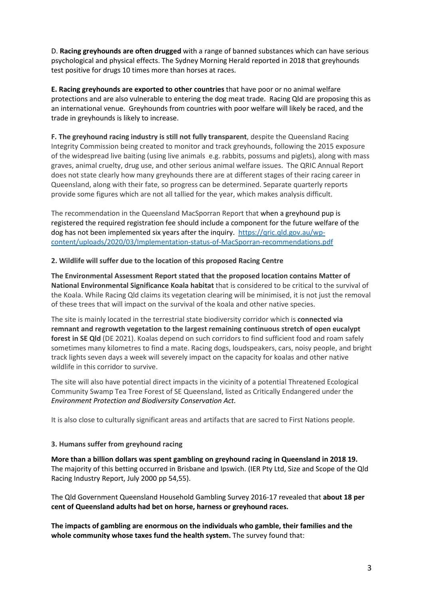D. **Racing greyhounds are often drugged** with a range of banned substances which can have serious psychological and physical effects. The Sydney Morning Herald reported in 2018 that greyhounds test positive for drugs 10 times more than horses at races.

**E. Racing greyhounds are exported to other countries** that have poor or no animal welfare protections and are also vulnerable to entering the dog meat trade. Racing Qld are proposing this as an international venue. Greyhounds from countries with poor welfare will likely be raced, and the trade in greyhounds is likely to increase.

**F. The greyhound racing industry is still not fully transparent**, despite the Queensland Racing Integrity Commission being created to monitor and track greyhounds, following the 2015 exposure of the widespread live baiting (using live animals e.g. rabbits, possums and piglets), along with mass graves, animal cruelty, drug use, and other serious animal welfare issues. The QRIC Annual Report does not state clearly how many greyhounds there are at different stages of their racing career in Queensland, along with their fate, so progress can be determined. Separate quarterly reports provide some figures which are not all tallied for the year, which makes analysis difficult.

The recommendation in the Queensland MacSporran Report that when a greyhound pup is registered the required registration fee should include a component for the future welfare of the dog has not been implemented six years after the inquiry. [https://qric.qld.gov.au/wp](https://qric.qld.gov.au/wp-content/uploads/2020/03/Implementation-status-of-MacSporran-recommendations.pdf)[content/uploads/2020/03/Implementation-status-of-MacSporran-recommendations.pdf](https://qric.qld.gov.au/wp-content/uploads/2020/03/Implementation-status-of-MacSporran-recommendations.pdf)

#### **2. Wildlife will suffer due to the location of this proposed Racing Centre**

**The Environmental Assessment Report stated that the proposed location contains Matter of National Environmental Significance Koala habitat** that is considered to be critical to the survival of the Koala. While Racing Qld claims its vegetation clearing will be minimised, it is not just the removal of these trees that will impact on the survival of the koala and other native species.

The site is mainly located in the terrestrial state biodiversity corridor which is **connected via remnant and regrowth vegetation to the largest remaining continuous stretch of open eucalypt forest in SE Qld** (DE 2021). Koalas depend on such corridors to find sufficient food and roam safely sometimes many kilometres to find a mate. Racing dogs, loudspeakers, cars, noisy people, and bright track lights seven days a week will severely impact on the capacity for koalas and other native wildlife in this corridor to survive.

The site will also have potential direct impacts in the vicinity of a potential Threatened Ecological Community Swamp Tea Tree Forest of SE Queensland, listed as Critically Endangered under the *Environment Protection and Biodiversity Conservation Act.*

It is also close to culturally significant areas and artifacts that are sacred to First Nations people.

#### **3. Humans suffer from greyhound racing**

**More than a billion dollars was spent gambling on greyhound racing in Queensland in 2018 19.** The majority of this betting occurred in Brisbane and Ipswich. (IER Pty Ltd, Size and Scope of the Qld Racing Industry Report, July 2000 pp 54,55).

The Qld Government Queensland Household Gambling Survey 2016-17 revealed that **about 18 per cent of Queensland adults had bet on horse, harness or greyhound races.**

**The impacts of gambling are enormous on the individuals who gamble, their families and the whole community whose taxes fund the health system.** The survey found that: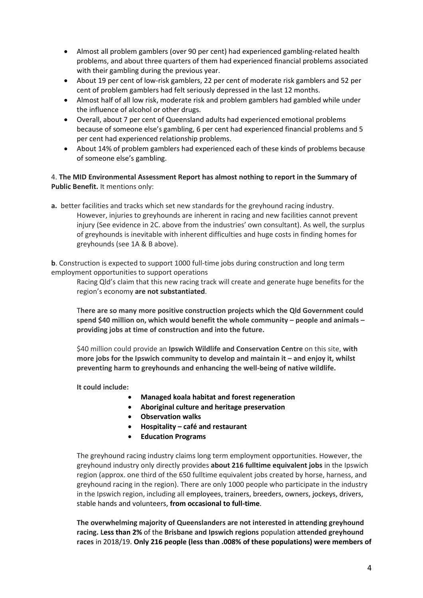- Almost all problem gamblers (over 90 per cent) had experienced gambling-related health problems, and about three quarters of them had experienced financial problems associated with their gambling during the previous year.
- About 19 per cent of low-risk gamblers, 22 per cent of moderate risk gamblers and 52 per cent of problem gamblers had felt seriously depressed in the last 12 months.
- Almost half of all low risk, moderate risk and problem gamblers had gambled while under the influence of alcohol or other drugs.
- Overall, about 7 per cent of Queensland adults had experienced emotional problems because of someone else's gambling, 6 per cent had experienced financial problems and 5 per cent had experienced relationship problems.
- About 14% of problem gamblers had experienced each of these kinds of problems because of someone else's gambling.

4. **The MID Environmental Assessment Report has almost nothing to report in the Summary of Public Benefit.** It mentions only:

**a.** better facilities and tracks which set new standards for the greyhound racing industry. However, injuries to greyhounds are inherent in racing and new facilities cannot prevent injury (See evidence in 2C. above from the industries' own consultant). As well, the surplus of greyhounds is inevitable with inherent difficulties and huge costs in finding homes for greyhounds (see 1A & B above).

**b**. Construction is expected to support 1000 full-time jobs during construction and long term employment opportunities to support operations

Racing Qld's claim that this new racing track will create and generate huge benefits for the region's economy **are not substantiated**.

T**here are so many more positive construction projects which the Qld Government could spend \$40 million on, which would benefit the whole community – people and animals – providing jobs at time of construction and into the future.** 

\$40 million could provide an **Ipswich Wildlife and Conservation Centre** on this site, **with more jobs for the Ipswich community to develop and maintain it – and enjoy it, whilst preventing harm to greyhounds and enhancing the well-being of native wildlife.** 

**It could include:**

- **Managed koala habitat and forest regeneration**
- **Aboriginal culture and heritage preservation**
- **Observation walks**
- **Hospitality – café and restaurant**
- **Education Programs**

The greyhound racing industry claims long term employment opportunities. However, the greyhound industry only directly provides **about 216 fulltime equivalent jobs** in the Ipswich region (approx. one third of the 650 fulltime equivalent jobs created by horse, harness, and greyhound racing in the region). There are only 1000 people who participate in the industry in the Ipswich region, including all employees, trainers, breeders, owners, jockeys, drivers, stable hands and volunteers, **from occasional to full-time**.

**The overwhelming majority of Queenslanders are not interested in attending greyhound racing. Less than 2%** of the **Brisbane and Ipswich regions** population **attended greyhound races** in 2018/19. **Only 216 people (less than .008% of these populations) were members of**